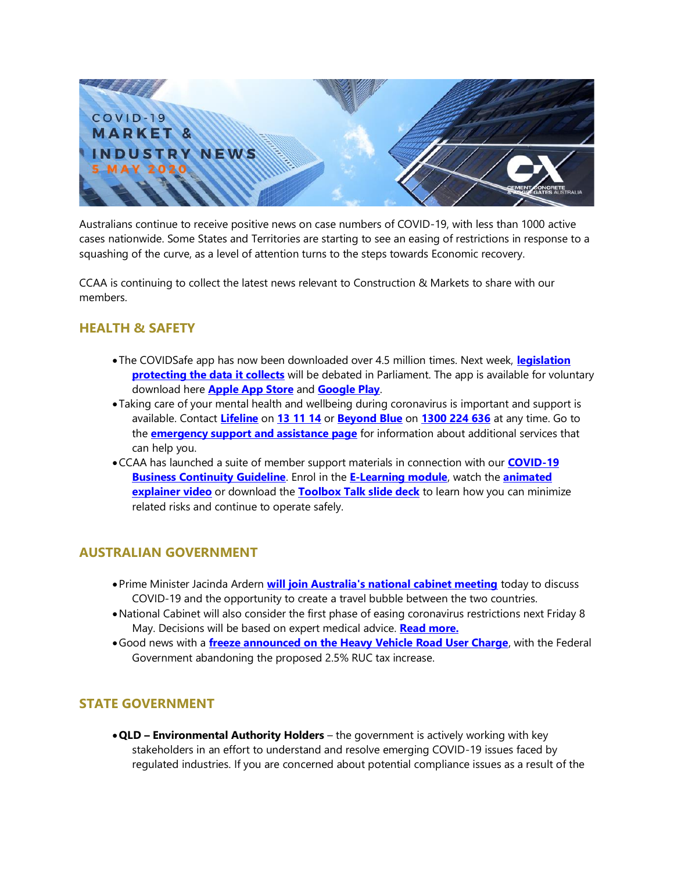

Australians continue to receive positive news on case numbers of COVID-19, with less than 1000 active cases nationwide. Some States and Territories are starting to see an easing of restrictions in response to a squashing of the curve, as a level of attention turns to the steps towards Economic recovery.

CCAA is continuing to collect the latest news relevant to Construction & Markets to share with our members.

## **HEALTH & SAFETY**

- The COVIDSafe app has now been downloaded over 4.5 million times. Next week, **[legislation](https://www.smh.com.au/politics/federal/jail-terms-for-those-who-breach-covid-app-privacy-law-20200504-p54pp7.html)  [protecting the data it collects](https://www.smh.com.au/politics/federal/jail-terms-for-those-who-breach-covid-app-privacy-law-20200504-p54pp7.html)** will be debated in Parliament. The app is available for voluntary download here **[Apple App Store](https://apps.apple.com/au/app/covidsafe/id1509242894)** and **[Google Play](https://play.google.com/store/apps/details?id=au.gov.health.covidsafe)**.
- Taking care of your mental health and wellbeing during coronavirus is important and support is available. Contact **[Lifeline](https://lifeline.org.au/)** on **[13 11 14](tel:131114)** or **[Beyond Blue](https://beyondblue.org.au/)** on **[1300 224 636](tel:1300224636)** at any time. Go to the **[emergency support and assistance page](https://www.australia.gov.au/content/australia/home/phone-contacts.html)** for information about additional services that can help you.
- •CCAA has launched a suite of member support materials in connection with our **[COVID-19](https://view.publitas.com/ccaa/ccaa_covid19_riskmanagementprotocols_newsletter_25032020/)  [Business Continuity Guideline](https://view.publitas.com/ccaa/ccaa_covid19_riskmanagementprotocols_newsletter_25032020/)**. Enrol in the **[E-Learning module](https://www.ccaa.com.au/iMIS_Prod/CCAA/Commerce/Event_Display.aspx?EventKey=BCGCOVID19&WebsiteKey=4998d6ce-2791-4962-b1e2-6b717f54a8d3)**, watch the **[animated](https://www.youtube.com/watch?v=ez1muaZtthw)  [explainer video](https://www.youtube.com/watch?v=ez1muaZtthw)** or download the **[Toolbox Talk slide deck](https://www.ccaa.com.au/imis_prod/documents/CCAA_COVID19_BusContinuityGuide_RB.pptx)** to learn how you can minimize related risks and continue to operate safely.

### **AUSTRALIAN GOVERNMENT**

- •Prime Minister Jacinda Ardern **[will join Australia's national cabinet meeting](https://www.smh.com.au/politics/federal/trans-tasman-flights-on-the-agenda-when-jacinda-ardern-joins-national-cabinet-20200504-p54pnn.html)** today to discuss COVID-19 and the opportunity to create a travel bubble between the two countries.
- •National Cabinet will also consider the first phase of easing coronavirus restrictions next Friday 8 May. Decisions will be based on expert medical advice. **[Read more.](https://www.pm.gov.au/media/update-coronavirus-measures-1may20)**
- •Good news with a **[freeze announced on the Heavy Vehicle Road User Charge](https://www.michaelmccormack.com.au/media-releases/2020/5/1/continued-support-for-truckies-to-keep-australia-moving-during-covid-19)**, with the Federal Government abandoning the proposed 2.5% RUC tax increase.

# **STATE GOVERNMENT**

•**QLD – Environmental Authority Holders** – the government is actively working with key stakeholders in an effort to understand and resolve emerging COVID-19 issues faced by regulated industries. If you are concerned about potential compliance issues as a result of the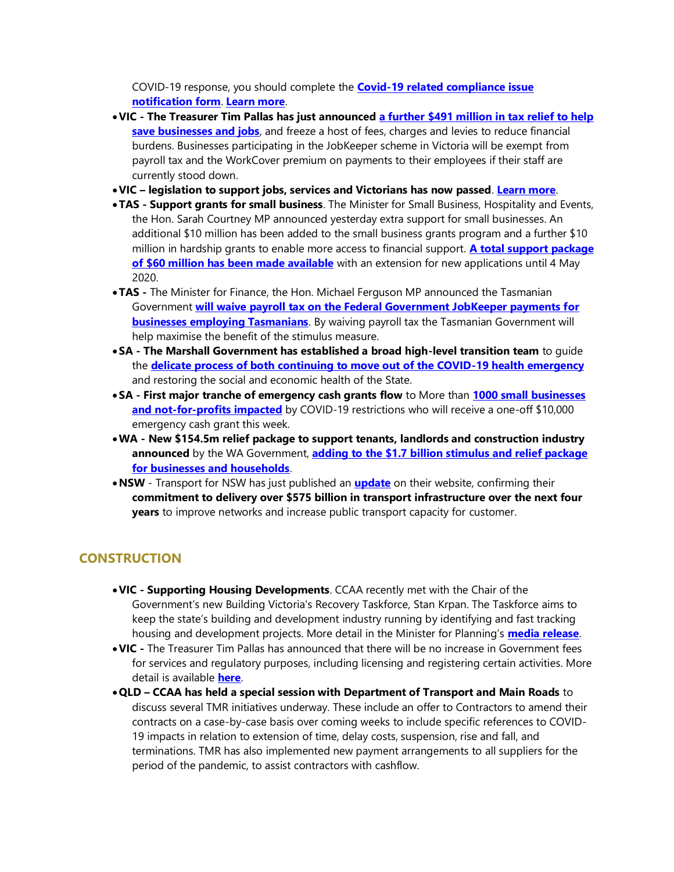COVID-19 response, you should complete the **[Covid-19 related compliance issue](https://environment.des.qld.gov.au/__data/assets/word_doc/0017/107252/cm-fm-covid-19-compliance-notification.docx)  [notification form](https://environment.des.qld.gov.au/__data/assets/word_doc/0017/107252/cm-fm-covid-19-compliance-notification.docx)**. **[Learn more](https://environment.des.qld.gov.au/management/covid-19-info-ea-holders)**.

- •**VIC - The Treasurer Tim Pallas has just announced [a further \\$491 million in tax relief to help](https://www.premier.vic.gov.au/saving-jobs-and-reducing-the-burden-on-businesses-and-families/)  [save businesses and jobs](https://www.premier.vic.gov.au/saving-jobs-and-reducing-the-burden-on-businesses-and-families/)**, and freeze a host of fees, charges and levies to reduce financial burdens. Businesses participating in the JobKeeper scheme in Victoria will be exempt from payroll tax and the WorkCover premium on payments to their employees if their staff are currently stood down.
- •**VIC – legislation to support jobs, services and Victorians has now passed**. **[Learn more](https://www.premier.vic.gov.au/legislation-to-support-jobs-services-and-victorians-passes/)**.
- •**TAS - Support grants for small business**. The Minister for Small Business, Hospitality and Events, the Hon. Sarah Courtney MP announced yesterday extra support for small businesses. An additional \$10 million has been added to the small business grants program and a further \$10 million in hardship grants to enable more access to financial support. **[A total support package](http://www.premier.tas.gov.au/releases/tasmanian_government_providing_an_extra_$20_million_for_small_business)  [of \\$60 million has been made available](http://www.premier.tas.gov.au/releases/tasmanian_government_providing_an_extra_$20_million_for_small_business)** with an extension for new applications until 4 May 2020.
- •**TAS -** The Minister for Finance, the Hon. Michael Ferguson MP announced the Tasmanian Government **[will waive payroll tax on the Federal Government JobKeeper payments for](http://www.premier.tas.gov.au/releases/waiving_payroll_tax_on_jobkeeper_payments)  [businesses employing Tasmanians](http://www.premier.tas.gov.au/releases/waiving_payroll_tax_on_jobkeeper_payments)**. By waiving payroll tax the Tasmanian Government will help maximise the benefit of the stimulus measure.
- •**SA - The Marshall Government has established a broad high-level transition team** to guide the **[delicate process of both continuing to move out of the COVID-19 health emergency](https://www.premier.sa.gov.au/news/media-releases/news/sa-establishes-transition-team-to-manage-post-covid-19)** and restoring the social and economic health of the State.
- •**SA - First major tranche of emergency cash grants flow** to More than **[1000 small businesses](https://www.premier.sa.gov.au/news/media-releases/news/first-major-tranche-of-$10k-emergency-cash-grants-flow-to-small-businesses)  [and not-for-profits impacted](https://www.premier.sa.gov.au/news/media-releases/news/first-major-tranche-of-$10k-emergency-cash-grants-flow-to-small-businesses)** by COVID-19 restrictions who will receive a one-off \$10,000 emergency cash grant this week.
- •**WA - New \$154.5m relief package to support tenants, landlords and construction industry announced** by the WA Government, **[adding to the \\$1.7 billion stimulus and relief package](https://www.wa.gov.au/organisation/department-of-the-premier-and-cabinet/covid-19-coronavirus-community-advice#health-wellbeing)  [for businesses and households](https://www.wa.gov.au/organisation/department-of-the-premier-and-cabinet/covid-19-coronavirus-community-advice#health-wellbeing)**.
- •**NSW**  Transport for NSW has just published an **[update](https://www.transport.nsw.gov.au/industry/industry-engagement)** on their website, confirming their **commitment to delivery over \$575 billion in transport infrastructure over the next four years** to improve networks and increase public transport capacity for customer.

### **CONSTRUCTION**

- •**VIC - Supporting Housing Developments**. CCAA recently met with the Chair of the Government's new Building Victoria's Recovery Taskforce, Stan Krpan. The Taskforce aims to keep the state's building and development industry running by identifying and fast tracking housing and development projects. More detail in the Minister for Planning's **[media release](https://www.premier.vic.gov.au/new-taskforce-to-bolster-building-and-development-industry/)**.
- •**VIC -** The Treasurer Tim Pallas has announced that there will be no increase in Government fees for services and regulatory purposes, including licensing and registering certain activities. More detail is available **[here](https://www.dtf.vic.gov.au/financial-management-government/indexation-fees-and-penalties)**.
- •**QLD – CCAA has held a special session with Department of Transport and Main Roads** to discuss several TMR initiatives underway. These include an offer to Contractors to amend their contracts on a case-by-case basis over coming weeks to include specific references to COVID-19 impacts in relation to extension of time, delay costs, suspension, rise and fall, and terminations. TMR has also implemented new payment arrangements to all suppliers for the period of the pandemic, to assist contractors with cashflow.